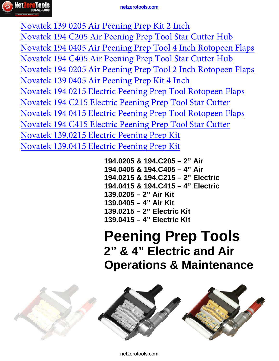

## [netzerotools.com](http://www.netzerotools.com)

ing Prep K<br>
ing Prep T<br>
ing Prep T<br>
ing Prep K<br>
Peening Pr<br>
Peening Pr<br>
Peening Pr<br>
Peening Pr<br>
Peening Pr<br>
Peening Pr<br>
Peening Pr<br>
Peening Pr<br>
Peening Pr<br>
Peening Pr<br>
Peening Pr<br>
205 & 194.<br>
215 & 194.<br>
215 & 194.<br>
215 - [Novatek 139 0205 Air Peening Prep Kit 2 Inch](http://www.netzerotools.com/novatek-139-0205-air-peening-prep-kit-2-inch) [Novatek 194 C205 Air Peening Prep Tool Star Cutter Hub](http://www.netzerotools.com/novatek-194-c205-air-peening-prep-tool-star-cutter-hub) [Novatek 194 0405 Air Peening Prep Tool 4 Inch Rotopeen Flaps](http://www.netzerotools.com/novatek-194-0405-air-peening-prep-tool-4-inch-rotopeen-flaps) [Novatek 194 C405 Air Peening Prep Tool Star Cutter Hub](http://www.netzerotools.com/novatek-194-c405-air-peening-prep-tool-star-cutter-hub) [Novatek 194 0205 Air Peening Prep Tool 2 Inch Rotopeen Flaps](http://www.netzerotools.com/novatek-194-0205-air-peening-prep-tool-2-inch-rotopeen-flaps) [Novatek 139 0405 Air Peening Prep Kit 4 Inch](http://www.netzerotools.com/novatek-139-0405-air-peening-prep-kit-4-inch) [Novatek 194 0215 Electric Peening Prep Tool Rotopeen Flaps](http://www.netzerotools.com/novatek-194-0215-electric-peening-prep-tool-rotopeen-flaps) [Novatek 194 C215 Electric Peening Prep Tool Star Cutter](http://www.netzerotools.com/novatek-194-c215-electric-peening-prep-tool-star-cutter) [Novatek 194 0415 Electric Peening Prep Tool Rotopeen Flaps](http://www.netzerotools.com/novatek-194-0415-electric-peening-prep-tool-rotopeen-flaps) [Novatek 194 C415 Electric Peening Prep Tool Star Cutter](http://www.netzerotools.com/novatek-194-c415-electric-peening-prep-tool-star-cutter) [Novatek 139.0215 Electric Peening Prep Kit](http://www.netzerotools.com/novatek-139.0215-electric-peening-prep-kit) [Novatek 139.0415 Electric Peening Prep Kit](http://www.netzerotools.com/novatek-139.0415-electric-peening-prep-kit)

**194.0205 & 194.C205 – 2" Air 194.0405 & 194.C405 – 4" Air 194.0215 & 194.C215 – 2" Electric 194.0415 & 194.C415 – 4" Electric 139.0205 – 2" Air Kit 139.0405 – 4" Air Kit 139.0215 – 2" Electric Kit 139.0415 – 4" Electric Kit** 

**Peening Prep Tools 2" & 4" Electric and Air Operations & Maintenance**

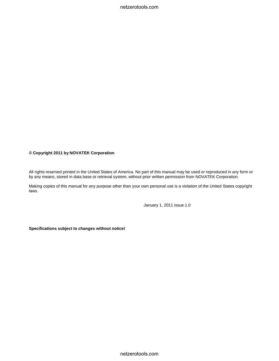netzerotools.com

#### **© Copyright 2011 by NOVATEK Corporation**

All rights reserved printed in the United States of America. No part of this manual may be used or reproduced in any form or by any means, stored in data base or retrieval system, without prior written permission from NOVATEK Corporation.

Making copies of this manual for any purpose other than your own personal use is a violation of the United States copyright laws.

January 1, 2011 issue 1.0

**Specifications subject to changes without notice!**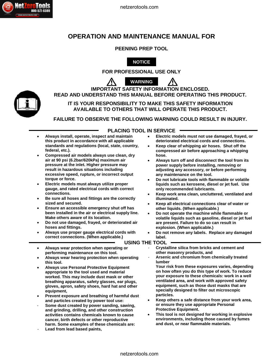## **OPERATION AND MAINTENANCE MANUAL FOR**

**PEENING PREP TOOL** 



**FOR PROFESSIONAL USE ONLY** 



**IMPORTANT SAFETY INFORMATION ENCLOSED. READ AND UNDERSTAND THIS MANUAL BEFORE OPERATING THIS PRODUCT.**

**IT IS YOUR RESPONSIBILITY TO MAKE THIS SAFETY INFORMATION AVAILABLE TO OTHERS THAT WILL OPERATE THIS PRODUCT.**

**FAILURE TO OBSERVE THE FOLLOWING WARNING COULD RESULT IN INJURY.**

**PLACING TOOL IN SERVICE**

- **Always install, operate, inspect and maintain this product in accordance with all applicable standards and regulations (local, state, country, federal, etc.).**
- **Compressed air models always use clean, dry air at 90 psi (6.2bar/620kPa) maximum air pressure at the inlet. Higher pressure may result in hazardous situations including excessive speed, rupture, or incorrect output torque or force.**
- **Electric models must always utilize proper gauge, and rated electrical cords with correct connections.**
- **Be sure all hoses and fittings are the correctly sized and secured.**
- **Ensure an accessible emergency shut off has been installed in the air or electrical supply line. Make others aware of its location.**
- **Do not use damaged, frayed, or deteriorated air hoses and fittings.**
- **Always use proper gauge electrical cords with correct connections. (When applicable.)**
- **Always wear protection when operating or performing maintenance on this tool.**
- **Always wear hearing protection when operating this tool.**
- **Always use Personal Protective Equipment appropriate to the tool used and material worked. This may include dust mask or other breathing apparatus, safety glasses, ear plugs, gloves, apron, safety shoes, hard hat and other equipment,**
- **Prevent exposure and breathing of harmful dust and particles created by power tool use:**
- **Some dust created by power sanding, sawing, and grinding, drilling, and other construction activities contains chemicals known to cause cancer, birth defects or other reproductive harm. Some examples of these chemicals are:**
- **Lead from lead based paints,**
- **Electric models must not use damaged, frayed, or deteriorated electrical cords and connections.**
- **Keep clear of whipping air hoses. Shut off the compressed air before approaching a whipping hose.**
- **Always turn off and disconnect the tool from its power supply before installing, removing or adjusting any accessory, or before performing any maintenance on the tool.**
- **Do not lubricate tools with flammable or volatile liquids such as kerosene, diesel or jet fuel. Use only recommended lubricants.**
- **Keep work area clean, uncluttered, ventilated and illuminated.**
- **Keep all electrical connections clear of water or other liquids. (When applicable.)**
- **Do not operate the machine while flammable or volatile liquids such as gasoline, diesel or jet fuel are present. Failure to do so can result in explosion. (When applicable.)**
- **Do not remove any labels. Replace any damaged label.**

**USING THE TOOL**

- - **Crystalline silica from bricks and cement and other masonry products, and**
- **Arsenic and chromium from chemically treated lumber**

**Your risk from these exposures varies, depending on how often you do this type of work. To reduce your exposure to these chemicals: work in a well ventilated area, and work with approved safety equipment, such as those dust masks that are specially designed to filter out microscopic particles.**

- **Keep others a safe distance from your work area, or ensure they use appropriate Personal Protective Equipment.**
- **This tool is not designed for working in explosive environments, including those caused by fumes and dust, or near flammable materials.**

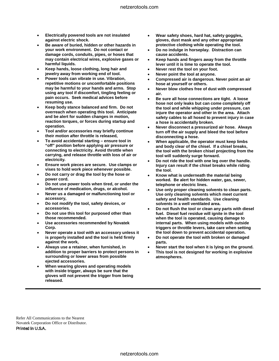- **Electrically powered tools are not insulated against electric shock.**
- **Be aware of buried, hidden or other hazards in your work environment. Do not contact or damage cords, conduits, pipes, or hoses that may contain electrical wires, explosive gases or harmful liquids.**
- **Keep hands, loose clothing, long hair and jewelry away from working end of tool.**
- **Power tools can vibrate in use. Vibration, repetitive motions or uncomfortable positions may be harmful to your hands and arms. Stop using any tool if discomfort, tingling feeling or pain occurs. Seek medical advices before resuming use.**
- **Keep body stance balanced and firm. Do not overreach when operating this tool. Anticipate and be alert for sudden changes in motion, reaction torques, or forces during startup and operation.**
- **Tool and/or accessories may briefly continue their motion after throttle is released,**
- **To avoid accidental starting – ensure tool in "off" position before applying air pressure or connecting to electricity. Avoid throttle when carrying, and release throttle with loss of air or electricity.**
- **Ensure work pieces are secure. Use clamps or vises to hold work piece whenever possible.**
- **Do not carry or drag the tool by the hose or power cord.**
- **Do not use power tools when tired, or under the influence of medication, drugs, or alcohol.**
- **Never us a damaged or malfunctioning tool or accessory,**
- **Do not modify the tool, safety devices, or accessories.**
- **Do not use this tool for purposed other than those recommended.**
- **Use accessories recommended by Novatek Corp.**
- **Never operate a tool with an accessory unless it is properly installed and the tool is held firmly against the work,**
- **Always use a retainer, when furnished, in addition to proper barriers to protect persons in surrounding or lower areas from possible ejected accessories.**
- **When wearing gloves and operating models with inside trigger, always be sure that the gloves will not prevent the trigger from being released.**
- **Wear safety shoes, hard hat, safety goggles, gloves, dust mask and any other appropriate protective clothing while operating the tool.**
- **Do no indulge in horseplay. Distraction can cause accidents.**
- **Keep hands and fingers away from the throttle lever until it is time to operate the tool.**
- **Never rest the tool on your foot.**
- **Never point the tool at anyone.**
- **Compressed air is dangerous. Never point an air hose at yourself or others.**
- **Never blow clothes free of dust with compressed air.**
- **Be sure all hose connections are tight. A loose hose not only leaks but can come completely off the tool and while whipping under pressure, can injure the operator and other in the area. Attach safety cables to all hosed to prevent injury in case a hose is accidentally broken.**
- **Never disconnect a pressurized air hose. Always turn off the air supply and bleed the tool before disconnecting a hose.**
- **When applicable, the operator must keep limbs and body clear of the chisel. If a chisel breaks, the tool with the broken chisel projecting from the tool will suddenly surge forward.**
- **Do not ride the tool with one leg over the handle. Injury can result if the chisel breaks while riding the tool.**
- **Know what is underneath the material being worked. Be alert for hidden water, gas, sewer, telephone or electric lines.**
- **Use only proper cleaning solvents to clean parts. Use only cleaning solvents which meet current safety and health standards. Use cleaning solvents in a well ventilated area.**
- **Do not flush the tool or clean any parts with diesel fuel. Diesel fuel residue will ignite in the tool when the tool is operated, causing damage to internal parts. When using models with outside triggers or throttle levers, take care when setting the tool down to prevent accidental operation.**
- **Do not operate the tool with broken or damaged parts.**
- **Never start the tool when it is lying on the ground.**
- **This tool is not designed for working in explosive atmospheres.**

Refer All Communications to the Nearest Novatek Corporation Office or Distributor. Printed in U.S.A.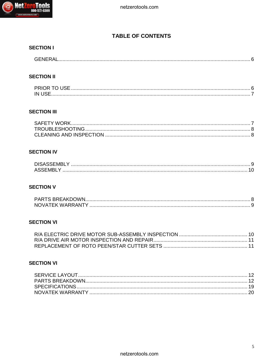

## **TABLE OF CONTENTS**

## **SECTION I**

| $C$ $F$ $N$ $F$ $D$ $A$<br><b>MENE</b><br>. ۷ تاریخ است به این این است به است به است به است به است به است به است به است به است به است به است است است ال |
|---------------------------------------------------------------------------------------------------------------------------------------------------------|
|---------------------------------------------------------------------------------------------------------------------------------------------------------|

## **SECTION II**

| <b>PRIOR TO US</b> |  |
|--------------------|--|
| IN H               |  |

## **SECTION III**

## **SECTION IV**

| <b>ACC</b> |  |
|------------|--|

## **SECTION V**

| NOVATEK WARRANTY |  |
|------------------|--|

## **SECTION VI**

## **SECTION VI**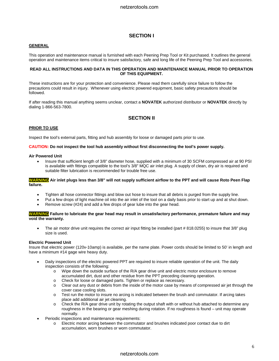### **SECTION I**

#### **GENERAL**

This operation and maintenance manual is furnished with each Peening Prep Tool or Kit purchased. It outlines the general operation and maintenance items critical to insure satisfactory, safe and long life of the Peening Prep Tool and accessories.

#### **READ ALL INSTRUCTIONS AND DATA IN THIS OPERATION AND MAINTENANCE MANUAL PRIOR TO OPERATION OF THIS EQUIPMENT.**

These instructions are for your protection and convenience. Please read them carefully since failure to follow the precautions could result in injury. Whenever using electric powered equipment, basic safety precautions should be followed.

If after reading this manual anything seems unclear, contact a **NOVATEK** authorized distributor or **NOVATEK** directly by dialing 1-866-563-7800.

## **SECTION II**

#### **PRIOR TO USE**

Inspect the tool's external parts, fitting and hub assembly for loose or damaged parts prior to use.

#### **CAUTION: Do not inspect the tool hub assembly without first disconnecting the tool's power supply.**

#### **Air Powered Unit**

• Insure that sufficient length of 3/8" diameter hose, supplied with a minimum of 30 SCFM compressed air at 90 PSI is available with fittings compatible to the tool's 3/8" MQC air inlet plug. A supply of clean, dry air is required and suitable filter lubrication is recommended for trouble free use.

#### **WARNING Air inlet plugs less than 3/8" will not supply sufficient airflow to the PPT and will cause Roto Peen Flap failure.**

- Tighten all hose connector fittings and blow out hose to insure that all debris is purged from the supply line.
- Put a few drops of light machine oil into the air inlet of the tool on a daily basis prior to start up and at shut down.
- Remove screw (#24) and add a few drops of gear lube into the gear head.

#### **WARNING Failure to lubricate the gear head may result in unsatisfactory performance, premature failure and may void the warranty.**

• The air motor drive unit requires the correct air input fitting be installed (part #818.0255) to insure that 3/8" plug size is used.

#### **Electric Powered Unit**

Insure that electric power (120v-10amp) is available, per the name plate. Power cords should be limited to 50' in length and have a minimum #14 gage wire heavy duty.

- Daily inspections of the electric powered PPT are required to insure reliable operation of the unit. The daily inspection consists of the following:
	- o Wipe down the outside surface of the R/A gear drive unit and electric motor enclosure to remove accumulated dirt, dust and other residue from the PPT preceding cleaning operation.
	- o Check for loose or damaged parts. Tighten or replace as necessary.
	- o Clear out any dust or debris from the inside of the motor case by means of compressed air jet through the cover case cooling slots.
	- $\circ$  Test run the motor to insure no arcing is indicated between the brush and commutator. If arcing takes place add additional air jet cleaning.
	- $\circ$  Check the R/A gear drive unit by rotating the output shaft with or without hub attached to determine any roughness in the bearing or gear meshing during rotation. If no roughness is found – unit may operate normally.
- Periodic inspections and maintenance requirements:
	- o Electric motor arcing between the commutator and brushes indicated poor contact due to dirt accumulation, worn brushes or worn commutator.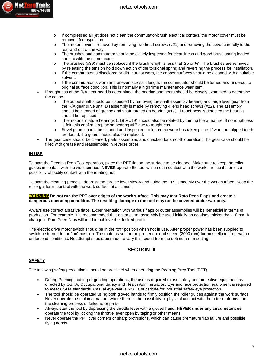

- o If compressed air jet does not clean the commutator/brush electrical contact, the motor cover must be removed for inspection.
- $\circ$  The motor cover is removed by removing two head screws (#21) and removing the cover carefully to the rear and out of the way.
- o The brushes and commutator should be closely inspected for cleanliness and good brush spring loaded contact with the commutator.
- $\circ$  The brushes (#39) must be replaced if the brush length is less that .25 or  $\frac{1}{4}$ ". The brushes are removed by releasing the tension hold down action of the torsional spring and reversing the process for installation.
- o If the commutator is discolored or dirt, but not worn, the copper surfaces should be cleaned with a suitable solvent.
- o If the commutator is worn and uneven across it length, the commutator should be turned and undercut to original surface condition. This is normally a high time maintenance wear item.
- If roughness of the R/A gear head is determined, the bearing and gears should be closely examined to determine the cause.
	- o The output shaft should be inspected by removing the shaft assembly bearing and large level gear from the R/A gear drive unit. Disassembly is made by removing 4 lens head screws (#22). The assembly should be cleaned of grease and shaft rotated on bearing (#17). If roughness is detected the bearing should be replaced.
	- $\circ$  The motor armature bearings (#18 & #19) should also be rotated by turning the armature. If no roughness is felt, this confirms replacing bearing #17 due to roughness.
	- o Bevel gears should be cleaned and inspected, to insure no wear has taken place. If worn or chipped teeth are found, the gears should also be replaced.
- The gear case should be cleaned, parts assembled and checked for smooth operation. The gear case should be filled with grease and reassembled in reverse order.

#### **IN USE**

To start the Peening Prep Tool operation, place the PPT flat on the surface to be cleaned. Make sure to keep the roller guides in contact with the work surface. **NEVER** operate the tool while not in contact with the work surface if there is a possibility of bodily contact with the rotating hub.

To start the cleaning process, depress the throttle lever slowly and guide the PPT smoothly over the work surface. Keep the roller guides in contact with the work surface at all times.

#### **WARNING Do not run the PPT over edges of the work surface. This may tear Roto Peen Flaps and create a dangerous operating condition. The resulting damage to the tool may not be covered under warranty.**

Always use correct abrasive flaps. Experimentation with various flaps or cutter assemblies will be beneficial in terms of production. For example, it is recommended that a star cutter assembly be used initially on coatings thicker than 10mm. A change in Roto Peen flaps will tend to achieve the desired profile.

The electric drive motor switch should be in the "off" position when not in use. After proper power has been supplied to switch be turned to the "on" position. The motor is set for the proper no-load speed (2000 rpm) for most efficient operation under load conditions. No attempt should be made to vary this speed from the optimum rpm setting.

## **SECTION III**

#### **SAFETY**

The following safety precautions should be practiced when operating the Peening Prep Tool (PPT).

- During Peening, cutting or grinding operations, the user is required to use safety and protective equipment as directed by OSHA, Occupational Safety and Health Administration. Eye and face protection equipment is required to meet OSHA standards. Casual eyewear is NOT a substitute for industrial safety eye protection.
- The tool should be operated using both gloved hands to firmly position the roller guides against the work surface. Never operate the tool in a manner where there is the possibility of physical contact with the rotor or debris from the cleaning process or failed rotor parts.
- Always start the tool by depressing the throttle lever with a gloved hand. **NEVER under any circumstances** operate the tool by locking the throttle lever open by taping or other means.
- Never operate the PPT over corners or sharp protrusions, which can cause premature flap failure and possible flying debris.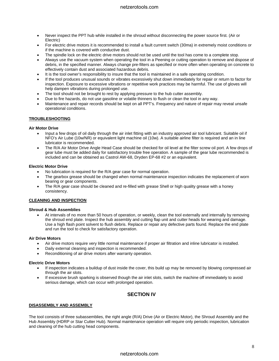- Never inspect the PPT hub while installed in the shroud without disconnecting the power source first. (Air or Electric)
- For electric drive motors it is recommended to install a fault current switch (30ma) in extremely moist conditions or if the machine is covered with conductive dust.
- The spindle lock on the electric drive motors should not be used until the tool has come to a complete stop.
- Always use the vacuum system when operating the tool in a Peening or cutting operation to remove and dispose of debris, in the specified manner. Always change pre-filters as specified or more often when operating on concrete to effectively contain dust and associated hazardous debris.
- It is the tool owner's responsibility to insure that the tool is maintained in a safe operating condition.
- If the tool produces unusual sounds or vibrates excessively shut down immediately for repair or return to factor for inspection. Exposure to excessive vibrations or repetitive work practices may be harmful. The use of gloves will help dampen vibrations during prolonged use.
- The tool should not be brought to rest by applying pressure to the hub cutter assembly.
- Due to fire hazards, do not use gasoline or volatile thinners to flush or clean the tool in any way.
- Maintenance and repair records should be kept on all PPT's. Frequency and nature of repair may reveal unsafe operational conditions.

#### **TROUBLESHOOTING**

#### **Air Motor Drive**

- Input a few drops of oil daily through the air inlet fitting with an industry approved air tool lubricant. Suitable oil if NFO's Air Lube (10w/NR) or equivalent light machine oil (10w). A suitable airline filter is required and an in line lubricator is recommended.
- The R/A Air Motor Drive Angle Head Case should be checked for oil level at the filter screw oil port. A few drops of gear lube must be added daily for satisfactory trouble free operation. A sample of the gear lube recommended is included and can be obtained as Castrol AW-68, Dryden EP-68 #2 or an equivalent.

#### **Electric Motor Drive**

- No lubrication is required for the R/A gear case for normal operation.
- The gearbox grease should be changed when normal maintenance inspection indicates the replacement of worn bearing or gear components.
- The R/A gear case should be cleaned and re-filled with grease Shell or high quality grease with a honey consistency.

#### **CLEANING AND INSPECTION**

#### **Shroud & Hub Assemblies**

• At intervals of no more than 50 hours of operation, or weekly, clean the tool externally and internally by removing the shroud end plate. Inspect the hub assembly and cutting flap unit and cutter heads for wearing and damage. Use a high flash point solvent to flush debris. Replace or repair any defective parts found. Replace the end plate and run the tool to check for satisfactory operation.

#### **Air Drive Motors**

- Air drive motors require very little normal maintenance if proper air filtration and inline lubricator is installed.
- Daily external cleaning and inspection is recommended.
- Reconditioning of air drive motors after warranty operation.

#### **Electric Drive Motors**

- If inspection indicates a buildup of dust inside the cover, this build up may be removed by blowing compressed air through the air slots.
- If excessive brush sparking is observed though the air inlet slots, switch the machine off immediately to avoid serious damage, which can occur with prolonged operation.

## **SECTION IV**

#### **DISASSEMBLY AND ASSEMBLY**

The tool consists of three subassemblies, the right angle (R/A) Drive (Air or Electric Motor), the Shroud Assembly and the Hub Assembly (HDRP or Star Cutter Hub). Normal maintenance operation will require only periodic inspection, lubrication and cleaning of the hub cutting head components.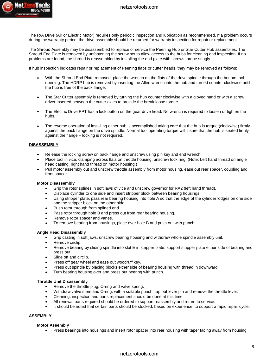

The R/A Drive (Air or Electric Motor) requires only periodic inspection and lubrication as recommended. If a problem occurs during the warranty period, the drive assembly should be returned for warranty inspection for repair or replacement.

The Shroud Assembly may be disassembled to replace or service the Peening Hub or Star Cutter Hub assemblies. The Shroud End Plate is removed by unfastening the screw set to allow access to the hubs for cleaning and inspection. If no problems are found, the shroud is reassembled by installing the end plate with screws torque snugly.

If hub inspection indicates repair or replacement of Peening flaps or cutter heads, they may be removed as follows:

- With the Shroud End Plate removed, place the wrench on the flats of the drive spindle through the bottom tool opening. The HDRP hub is removed by inserting the Allen wrench into the hub and turned counter clockwise until the hub is free of the back flange.
- The Star Cutter assembly is removed by turning the hub counter clockwise with a gloved hand or with a screw driver inserted between the cutter axles to provide the break loose torque.
- The Electric Drive PPT has a lock button on the gear drive head. No wrench is required to loosen or tighten the hubs.
- The reverse operation of installing either hub is accomplished taking care that the hub is torque (clockwise) firmly against the back flange on the drive spindle. Normal tool operating torque will insure that the hub is seated firmly against the flange – locking is not required.

#### **DISASSEMBLY**

- Release the locking screw on back flange and unscrew using pin key and end wrench.
- Place tool in vice, clamping across flats on throttle housing, unscrew lock ring. (Note: Left hand thread on angle head casting, right hand thread on motor housing.)
- Pull motor assembly out and unscrew throttle assembly from motor housing, ease out rear spacer, coupling and front spacer.

#### **Motor Disassembly**

- Grip the rotor splines in soft jaws of vice and unscrew governor for RA2 (left hand thread).
- Displace cylinder to one side and insert stripper block between bearing housings.
- Using stripper plate, pass rear bearing housing into hole A so that the edge of the cylinder lodges on one side and the stripper block on the other side.
- Push rotor through from splined end.
- Pass rotor through hole B and press out from rear bearing housing.
- Remove rotor spacer and vanes.
- To remove bearing from housings, place over hole B and push out with punch.

#### **Angle Head Disassembly**

- Grip casting in soft jaws, unscrew bearing housing and withdraw whole spindle assembly unit.
- Remove circlip.
- Remove bearing by sliding spindle into slot E in stripper plate, support stripper plate either side of bearing and press out.
- Slide off and circlip.
- Press off gear wheel and ease out woodruff key.
- Press out spindle by placing blocks either side of bearing housing with thread in downward.
- Turn bearing housing over and press out bearing with punch.

#### **Throttle Unit Disassembly**

- Remove the throttle plug, O-ring and valve spring.
- Withdraw valve stem and O-ring, with a suitable punch, tap out lever pin and remove the throttle lever.
- Cleaning, inspection and parts replacement should be done at this time.
- All renewal parts required should be ordered to support reassembly and return to service.
- It should be noted that certain parts should be stocked, based on experience, to support a rapid repair cycle.

#### **ASSEMBLY**

#### **Motor Assembly**

• Press bearings into housings and insert rotor spacer into rear housing with taper facing away from housing.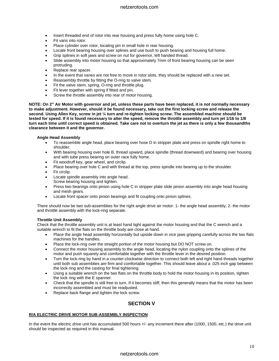- Insert threaded end of rotor into rear housing and press fully home using hole C.
- Fit vans into rotor.
- Place cylinder over rotor, locating pin in small hole in rear housing.
- Locate front bearing housing over splines and use bush to push bearing and housing full home.
- Grip splines in soft jaws and screw on nut for governor, left handed thread.
- Slide assembly into motor housing so that approximately 7mm of front bearing housing can be seen protruding.
- Replace rear spacer.
- In the event that vanes are not free to move in rotor slots, they should be replaced with a new set.
- Reassembly throttle by fitting the O-ring to valve stem.
- Fit the valve stem, spring, O-ring and throttle plug.
- Fit lever together with spring if fitted and pin.
- Screw the throttle assembly into rear of motor housing.

**NOTE: On 2" Air Motor with governor and jet, unless these parts have been replaced, it is not normally necessary to make adjustment. However, should it be found necessary, take out the first locking screw and release the second. Using Allen Key, screw in jet ¼ turn and re-tighten locking screw. The assembled machine should be tested for speed. If it is found necessary to alter the speed, remove the throttle assembly and turn jet 1/16 to 1/8 turn each time until correct speed is obtained. Take care not to overturn the jet as there is only a few thousandths clearance between it and the governor.** 

#### **Angle Head Assembly**

- To reassemble angle head, place bearing over hose D in stripper plate and press on spindle right home to shoulder.
- With bearing housing over hole B, thread upward, place spindle (thread downward) and bearing over housing and with tube press bearing on outer race fully home.
- Fit woodruff key, gear wheel, and circlip.
- Place bearing over hole C and with thread at the top, press spindle into bearing up to the shoulder.
- Fit circlip.
- Locate spindle assembly into angle head. Screw bearing housing and tighten.
- Press two bearings onto pinion using hole C in stripper plate slide pinion assembly into angle head housing and mesh gears.
- Locate front spacer onto pinion bearings and fit coupling onto pinion splines.

There should now be two sub-assemblies for the right angle drive air motor: 1- the angle head assembly, 2- the motor and throttle assembly with the lock-ring separate.

#### **Throttle Unit Assembly**

Check that the throttle assembly unit is at least hand tight against the motor housing and that the C wrench and a suitable wrench to fit the flats on the throttle body are close at hand.

- Place the angle head assembly horizontally but upside down in vice jaws gripping carefully across the two flats machines for the handles.
- Place the lock-ring over the straight portion of the motor housing but DO NOT screw on.
- Connect the motor housing assembly to the angle head, locating the nylon coupling onto the splines of the motor and push squarely and comfortable together with the throttle lever in the desired position.
- Turn the lock-ring by hand in a counter-clockwise direction to connect both left and right hand threads together until both sub assemblies are firm and comfortable together. This should leave about a .025 inch gap between the lock-ring and the casting for final tightening.
- Using a suitable wrench on the two flats on the throttle body to hold the motor housing in its position, tighten the lock ring with the E spanner.
- Check that the spindle is still free to turn. If it becomes stiff, then this generally means that the motor has been incorrectly assembled and must be readjusted.
- Replace back flange and tighten the lock screw.

## **SECTION V**

#### **R/A ELECTRIC DRIVE MOTOR SUB-ASSEMBLY INSPECTION**

In the event the electric drive unit has accumulated 500 hours +/- any increment there after (1000, 1500, etc.) the drive unit should be inspected as required in this manual.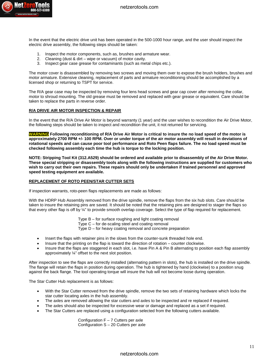

In the event that the electric drive unit has been operated in the 500-1000 hour range, and the user should inspect the electric drive assembly, the following steps should be taken:

- 1. Inspect the motor components, such as, brushes and armature wear.
- 2. Cleaning (dust & dirt wipe or vacuum) of motor cavity.
- 3. Inspect gear case grease for contaminants (such as metal chips etc.).

The motor cover is disassembled by removing two screws and moving them over to expose the brush holders, brushes and motor armature. Extensive cleaning, replacement of parts and armature reconditioning should be accomplished by a licensed shop or returning to TSPT for service.

The R/A gear case may be inspected by removing four lens head screws and gear cap cover after removing the collar, motor to shroud mounting. The old grease must be removed and replaced with gear grease or equivalent. Care should be taken to replace the parts in reverse order.

#### **R/A DRIVE AIR MOTOR INSPECTION & REPAIR**

In the event that the R/A Drive Air Motor is beyond warranty (1 year) and the user wishes to recondition the Air Drive Motor, the following steps should be taken to inspect and recondition the unit, it not returned for servicing.

**WARNING Following reconditioning of R/A Drive Air Motor is critical to insure the no load speed of the motor is approximately 2700 RPM +/- 100 RPM. Over or under torque of the air motor assembly will result in deviations of rotational speeds and can cause poor tool performance and Roto Peen flaps failure. The no load speed must be checked following assembly each time the hub is torque to the locking position.** 

**NOTE: Stripping Tool Kit (312.A529) should be ordered and available prior to disassembly of the Air Drive Motor. These special stripping or disassembly tools along with the following instructions are supplied for customers who wish to carry out their own repairs. These repairs should only be undertaken if trained personnel and approved speed testing equipment are available.** 

#### **REPLACEMENT OF ROTO PEEN/STAR CUTTER SETS**

If inspection warrants, roto-peen flaps replacements are made as follows:

With the HDRP Hub Assembly removed from the drive spindle, remove the flaps from the six hub slots. Care should be taken to insure the retaining pins are saved. It should be noted that the retaining pins are designed to stager the flaps so that every other flap is off by ¼" to provide smooth overlap coverage. Select the type of flap required for replacement.

Type B – for surface roughing and light coating removal

- Type C for de-scaling steel and coating removal
- Type D for heavy coating removal and concrete preparation
- Insert the flaps with retainer pins in the slows from the counter-sunk threaded hole end.
- Insure that the printing on the flap is toward the direction of rotation counter clockwise.
- Insure that the flaps are staggered in each slot, i.e. have Pin A & Pin B alternating to position each flap assembly approximately ¼" offset to the next slot position.

After inspection to see the flaps are correctly installed (alternating pattern in slots), the hub is installed on the drive spindle. The flange will retain the flaps in position during operation. The hub is tightened by hand (clockwise) to a position snug against the back flange. The tool operating torque will insure the hub will not become loose during operation.

The Star Cutter Hub replacement is as follows:

- With the Star Cutter removed from the drive spindle, remove the two sets of retaining hardware which locks the star cutter locating axles in the hub assembly.
- The axles are removed allowing the star cutters and axles to be inspected and re replaced if required.
- The axles should also be inspected for excessive wear or damage and replaced as a set if required.
- The Star Cutters are replaced using a configuration selected from the following cutters available.

Configuration  $F - 7$  Cutters per axle Configuration S – 20 Cutters per axle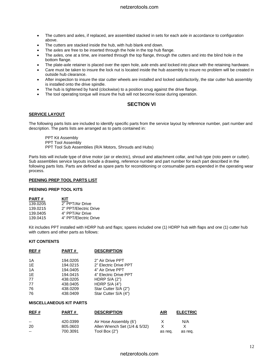- The cutters and axles, if replaced, are assembled stacked in sets for each axle in accordance to configuration above.
- The cutters are stacked inside the hub, with hub blank end down.
- The axles are free to be inserted through the hole in the top hub flange.
- The axles, one at a time, are inserted through the top flange, through the cutters and into the blind hole in the bottom flange.
- The plate-axle retainer is placed over the open hole, axle ends and locked into place with the retaining hardware.
- Care must be taken to insure the lock nut is located inside the hub assembly to insure no problem will be created in outside hub clearance.
- After inspection to insure the star cutter wheels are installed and locked satisfactorily, the star cutter hub assembly is installed onto the drive spindle.
- The hub is tightened by hand (clockwise) to a position snug against the drive flange.
- The tool operating torque will insure the hub will not become loose during operation.

## **SECTION VI**

#### **SERVICE LAYOUT**

The following parts lists are included to identify specific parts from the service layout by reference number, part number and description. The parts lists are arranged as to parts contained in:

- PPT Kit Assembly
- PPT Tool Assembly
- PPT Tool Sub Assemblies (R/A Motors, Shrouds and Hubs)

Parts lists will include type of drive motor (air or electric), shroud and attachment collar, and hub type (roto peen or cutter). Sub assemblies service layouts include a drawing, reference number and part number for each part described in the following parts lists. Parts are defined as spare parts for reconditioning or consumable parts expended in the operating wear process.

#### **PEENING PREP TOOL PARTS LIST**

#### **PEENING PREP TOOL KITS**

| <b>PART#</b> | KIT                   |
|--------------|-----------------------|
| 139.0205     | 2" PPT/Air Drive      |
| 139.0215     | 2" PPT/Electric Drive |
| 139.0405     | 4" PPT/Air Drive      |
| 139.0415     | 4" PPT/Electric Drive |

Kit includes PPT installed with HDRP hub and flaps; spares included one (1) HDRP hub with flaps and one (1) cutter hub with cutters and other parts as follows:

#### **KIT CONTENTS**

| REF# | PART#    | <b>DESCRIPTION</b>    |
|------|----------|-----------------------|
| 1A   | 194.0205 | 2" Air Drive PPT      |
| 1E   | 194.0215 | 2" Electric Drive PPT |
| 1A   | 194.0405 | 4" Air Drive PPT      |
| 1E   | 194.0415 | 4" Electric Drive PPT |
| 77   | 438.0205 | HDRP $S/A$ $(2")$     |
| 77   | 438.0405 | HDRP $S/A(4")$        |
| 76   | 438.0209 | Star Cutter S/A (2")  |
| 76   | 438.0409 | Star Cutter S/A (4")  |

#### **MISCELLANEOUS KIT PARTS**

| REF# | <b>PART#</b> | <b>DESCRIPTION</b>            | <b>AIR</b> | <b>ELECTRIC</b> |
|------|--------------|-------------------------------|------------|-----------------|
| $-$  | 420.0399     | Air Hose Assembly (6')        | x          | N/A             |
| 20   | 805.0603     | Allen Wrench Set (1/4 & 5/32) |            |                 |
| $-$  | 700.3091     | Tool Box (2")                 | as reg.    | as reg.         |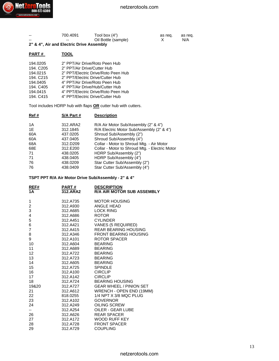| -- | 700.4091 | Tool box $(4")$     | as reg. | as reg. |
|----|----------|---------------------|---------|---------|
| -- | --       | Oil Bottle (sample) |         | N/A     |

**2" & 4", Air and Electric Drive Assembly**

## **PART # TOOL**

| 194.0205  | 2" PPT/Air Drive/Roto Peen Hub      |
|-----------|-------------------------------------|
| 194. C205 | 2" PPT/Air Drive/Cutter Hub         |
| 194.0215  | 2" PPT/Electric Drive/Roto Peen Hub |
| 194. C215 | 2" PPT/Electric Drive/Cutter Hub    |
| 194.0405  | 4" PPT/Air Drive/Roto Peen Hub      |
| 194. C405 | 4" PPT/Air Drive/Hub/Cutter Hub     |
| 194.0415  | 4" PPT/Electric Drive/Roto Peen Hub |
| 194. C415 | 4" PPT/Electric Drive/Cutter Hub    |

Tool includes HDRP hub with flaps **OR** cutter hub with cutters.

| Ref# | S/A Part # | <b>Description</b>                             |
|------|------------|------------------------------------------------|
| 1A   | 312.ARA2   | R/A Air Motor Sub/Assembly (2" & 4")           |
| 1E   | 312.1845   | R/A Electric Motor Sub/Assembly (2" & 4")      |
| 60A  | 437.0205   | Shroud Sub/Assembly (2")                       |
| 60A  | 437.0405   | Shroud Sub/Assembly (4")                       |
| 68A  | 312.D209   | Collar - Motor to Shroud Mtg. - Air Motor      |
| 68E  | 312, E200  | Collar - Motor to Shroud Mtg. - Electric Motor |
| 71   | 438.0205   | HDRP Sub/Assembly (2")                         |
| 71   | 438.0405   | HDRP Sub/Assembly (4")                         |
| 76   | 438.0209   | Star Cutter Sub/Assembly (2")                  |
| 76   | 438.0409   | Star Cutter Sub/Assembly (4")                  |
|      |            |                                                |

**TSPT PPT R/A Air Motor Drive Sub/Assembly - 2" & 4"**

| REF#<br>1А        | <u>PART #</u><br>312.ARA2 | <b>DESCRIPTION</b><br><b>R/A AIR MOTOR SUB ASSEMBLY</b> |
|-------------------|---------------------------|---------------------------------------------------------|
| 1                 | 312.A735                  | <b>MOTOR HOUSING</b>                                    |
| $\overline{c}$    | 312.A930                  | ANGLE HEAD                                              |
| 3                 | 312.A685                  | <b>LOCK RING</b>                                        |
| 4                 | 312.A686                  | <b>ROTOR</b>                                            |
| 5                 | 312.A451                  | <b>CYLINDER</b>                                         |
| 6                 | 312.A421                  | VANES (5 REQUIRED)                                      |
| $\overline{7}$    | 312.A415                  | <b>REAR BEARING HOUSING</b>                             |
| 8                 | 312.A346                  | <b>FRONT BEARING HOUSING</b>                            |
| 9                 | 312.A101                  | ROTOR SPACER                                            |
| 10                | 312.A604                  | <b>BEARING</b>                                          |
| 11                | 312.A689                  | <b>BEARING</b>                                          |
| $12 \overline{ }$ | 312.A722                  | <b>BEARING</b>                                          |
| 13                | 312.A723                  | <b>BEARING</b>                                          |
| 14                | 312.A605                  | <b>BEARING</b>                                          |
| 15                | 312.A725                  | <b>SPINDLE</b>                                          |
| 16                | 312.A100                  | <b>CIRCLIP</b>                                          |
| 17                | 312.A142                  | <b>CIRCLIP</b>                                          |
| 18                | 312.A724                  | <b>BEARING HOUSING</b>                                  |
| 19&20             | 312.A727                  | <b>GEAR WHEEL / PINION SET</b>                          |
| 21                | 312.A612                  | WRENCH - OPEN END (19MM)                                |
| 22                | 818.0255                  | 1/4 NPT X 3/8 MQC PLUG                                  |
| 23                | 312.A102                  | <b>GOVERNOR</b>                                         |
| 24                | 312.A249                  | OILING SCREW                                            |
| $-1$              | 312.A254                  | OILER - GEAR LUBE                                       |
| 26                | 312.A626                  | <b>REAR SPACER</b>                                      |
| 27                | 312.A172                  | WOOD RUFF KEY                                           |
| 28                | 312.A728                  | <b>FRONT SPACER</b>                                     |
| 29                | 312.A729                  | <b>COUPLING</b>                                         |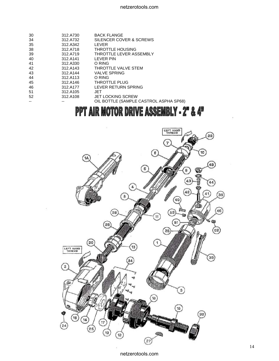| 30 | 312.A730 | <b>BACK FLANGE</b>                     |
|----|----------|----------------------------------------|
| 34 | 312.A732 | SILENCER COVER & SCREWS                |
| 35 | 312.A342 | LEVER                                  |
| 38 | 312.A718 | <b>THROTTLE HOUSING</b>                |
| 39 | 312.A719 | THROTTLE LEVER ASSEMBLY                |
| 40 | 312.A141 | LEVER PIN                              |
| 41 | 312.A330 | O RING                                 |
| 42 | 312.A143 | THROTTLE VALVE STEM                    |
| 43 | 312.A144 | <b>VALVE SPRING</b>                    |
| 44 | 312.A113 | O RING                                 |
| 45 | 312.A146 | <b>THROTTLE PLUG</b>                   |
| 46 | 312.A177 | LEVER RETURN SPRING                    |
| 51 | 312.A105 | JET                                    |
| 52 | 312.A108 | <b>JET LOCKING SCREW</b>               |
|    |          | OIL BOTTLE (SAMPLE CASTROL ASPHA SP68) |
|    |          |                                        |

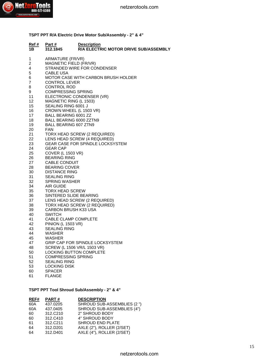

**TSPT PPT R/A Electric Drive Motor Sub/Assembly - 2" & 4"**

| <u>Ref #</u><br>1B | <u>Part #</u><br>312.1845                       | <b>Description</b><br><b>R/A ELECTRIC MOTOR DRIVE SUB/ASSEMBLY</b> |
|--------------------|-------------------------------------------------|--------------------------------------------------------------------|
| 1                  | ARMATURE (FR/VR)                                |                                                                    |
| 2                  | MAGNETIC FIELD (FR/VR)                          |                                                                    |
| 4<br>5             | <b>CABLE USA</b>                                | STRANDED WIRE FOR CONDENSER                                        |
| 6.                 |                                                 | <b>MOTOR CASE WITH CARBON BRUSH HOLDER</b>                         |
| $\overline{7}$     | <b>CONTROL LEVER</b>                            |                                                                    |
| 8                  | <b>CONTROL ROD</b>                              |                                                                    |
| 9                  | <b>COMPRESSING SPRING</b>                       |                                                                    |
| 11                 |                                                 | ELECTRONIC CONDENSER (VR)                                          |
| 12                 | MAGNETIC RING (L 1503)                          |                                                                    |
| 15                 | SEALING RING 6001 J                             |                                                                    |
| 16<br>17           | <b>BALL BEARING 6001 ZZ</b>                     | CROWN WHEEL (L 1503 VR)                                            |
| 18                 | BALL BEARING 6000 ZZTN9                         |                                                                    |
| 19                 | <b>BALL BEARING 607 ZTN9</b>                    |                                                                    |
| 20                 | <b>FAN</b>                                      |                                                                    |
| 21                 |                                                 | TORX HEAD SCREW (2 REQUIRED)                                       |
| 22                 |                                                 | LENS HEAD SCREW (4 REQUIRED)                                       |
| 23                 |                                                 | <b>GEAR CASE FOR SPINDLE LOCKSYSTEM</b>                            |
| 24                 | <b>GEAR CAP</b>                                 |                                                                    |
| 25<br>26           | <b>COVER (L 1503 VR)</b><br><b>BEARING RING</b> |                                                                    |
| 27                 | CABLE CONDUIT                                   |                                                                    |
| 28                 | <b>BEARING COVER</b>                            |                                                                    |
| 30                 | <b>DISTANCE RING</b>                            |                                                                    |
| 31                 | <b>SEALING RING</b>                             |                                                                    |
| 32                 | <b>SPRING WASHER</b>                            |                                                                    |
| 34                 | AIR GUIDE                                       |                                                                    |
| 35                 | <b>TORX HEAD SCREW</b>                          |                                                                    |
| 36<br>37           | SINTERED SLIDE BEARING                          | LENS HEAD SCREW (2 REQUIRED)                                       |
| 38                 |                                                 | TORX HEAD SCREW (2 REQUIRED)                                       |
| 39                 | CARBON BRUSH K33 USA                            |                                                                    |
| 40                 | <b>SWITCH</b>                                   |                                                                    |
| 41                 | CABLE CLAMP COMPLETE                            |                                                                    |
| 42                 | <b>PINION (L 1503 VR)</b>                       |                                                                    |
| 43                 | <b>SEALING RING</b>                             |                                                                    |
| 44<br>45           | <b>WASHER</b><br>WASHER                         |                                                                    |
| 47                 |                                                 | <b>GRIP CAP FOR SPINDLE LOCKSYSTEM</b>                             |
| 48                 |                                                 | SCREW (L 1506 VR/L 1503 VR)                                        |
| 50                 |                                                 | <b>LOCKING BUTTON COMPLETE</b>                                     |
| 51                 | <b>COMPRESSING SPRING</b>                       |                                                                    |
| 52                 | <b>SEALING RING</b>                             |                                                                    |
| 53                 | <b>LOCKING DISK</b>                             |                                                                    |
| 60                 | <b>SPACER</b>                                   |                                                                    |
| 61                 | <b>FLANGE</b>                                   |                                                                    |

## **TSPT PPT Tool Shroud Sub/Assembly - 2" & 4"**

| REF# | PART#    | <b>DESCRIPTION</b>          |
|------|----------|-----------------------------|
| 60A  | 437.0205 | SHROUD SUB-ASSEMBLIES (2 ") |
| 60A  | 437.0405 | SHROUD SUB-ASSEMBLIES (4")  |
| 60   | 312.C210 | 2" SHROUD BODY              |
| 60   | 312.C410 | 4" SHROUD BODY              |
| 61   | 312.C211 | <b>SHROUD END PLATE</b>     |
| 64   | 312.D201 | AXLE (2"), ROLLER (2/SET)   |
| 64   | 312.D401 | AXLE (4"), ROLLER (2/SET)   |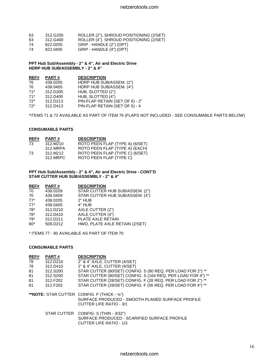| 63 | 312.G200 | ROLLER (2"), SHROUD POSITIONING (2/SET) |
|----|----------|-----------------------------------------|
| 63 | 312.G400 | ROLLER (4"), SHROUD POSITIONING (2/SET) |
| 74 | 822.0205 | GRIP - HANDLE (2") (OPT)                |

74 822.0405 GRIP - HANDLE (4") (OPT)

**PPT Hub Sub/Assembly - 2" & 4", Air and Electric Drive HDRP HUB SUB/ASSEMBLY - 2" & 4"**

| REF#  | PART#    | <b>DESCRIPTION</b>              |
|-------|----------|---------------------------------|
| 76    | 438.0205 | HDRP HUB SUB/ASSEM. (2")        |
| 76    | 438.0405 | HDRP HUB SUB/ASSEM. (4")        |
| $71*$ | 312.D205 | HUB, SLOTTED (2")               |
| $71*$ | 312.D405 | HUB, SLOTTED (4")               |
| $72*$ | 312.D213 | PIN-FLAP RETAIN (SET OF 6) - 2" |
| $72*$ | 312.D413 | PIN-FLAP RETAIN (SET OF 6) - 4  |
|       |          |                                 |

\*ITEMS 71 & 72 AVAILABLE AS PART OF ITEM 76 (FLAPS NOT INCLUDED - SEE CONSUMABLE PARTS BELOW)

#### **CONSUMABLE PARTS**

| REF# | <b>PART#</b> | <b>DESCRIPTION</b>              |
|------|--------------|---------------------------------|
| 73.  | 312.M210     | ROTO PEEN FLAP (TYPE A) (6/SET) |
|      | 312 MRPA     | ROTO PEEN FLAP (TYPE A) (EACH)  |
| 73   | 312.M212     | ROTO PEEN FLAP (TYPE C) (6/SET) |
|      | 312.MRPC     | ROTO PEEN FLAP (TYPE C)         |

**PPT Hub Sub/Assembly - 2" & 4", Air and Electric Drive - CONT'D STAR CUTTER HUB SUB/ASSEMBLY - 2" & 4"**

| REF#  | PART#    | <b>DESCRIPTION</b>              |
|-------|----------|---------------------------------|
| 70    | 438.0209 | STAR CUTTER HUB SUB/ASSEM. (2") |
| 70    | 438.0409 | STAR CUTTER HUB SUB/ASSEM. (4") |
| $77*$ | 438.0205 | 2" HUB                          |
| $77*$ | 438.0405 | 4" HUB                          |
| 78*   | 312.D210 | AXLE CUTTER (2")                |
| $78*$ | 312.D410 | AXLE CUTTER (4")                |
| $79*$ | 312.D211 | PLATE AXLE RETAIN               |
| $80*$ | 508.D212 | HWD, PLATE AXLE RETAIN (2/SET)  |
|       |          |                                 |

\* ITEMS 77 - 80 AVAILABLE AS PART OF ITEM 70

#### **CONSUMABLE PARTS**

| REF# | <b>PART#</b> | <b>DESCRIPTION</b>                                                                                                                 |
|------|--------------|------------------------------------------------------------------------------------------------------------------------------------|
| 78   | 312.D210     | 2" & 4" AXLE, CUTTER (4/SET)                                                                                                       |
| 78   | 312.D410     | 2" & 4" AXLE, CUTTER (4/SET)                                                                                                       |
| 81   | 312.S200     | STAR CUTTER (80/SET) CONFIG. S (80 REQ. PER LOAD FOR 2") **                                                                        |
| 81   | 312.S200     | STAR CUTTER (80/SET) CONFIG. S (164 REQ. PER LOAD FOR 4") **                                                                       |
| 81   | 312.F202     | STAR CUTTER (28/SET) CONFIG. F (28 REQ. PER LOAD FOR 2") **                                                                        |
| 81   | 312.F202     | STAR CUTTER (28/SET) CONFIG. F (56 REQ. PER LOAD FOR 4") **                                                                        |
|      |              | **NOTE: STAR CUTTER CONFIG. F (THICK - 1/4")<br>SURFACE PRODUCED - SMOOTH PLANED SURFACE PROFILE<br><b>CUTTER LIFE RATIO - 3/1</b> |
|      |              | STAR CUTTER CONFIG. S (THIN - 3/32")<br>SURFACE PRODUCED - SCARIFIED SURFACE PROFILE<br><b>CUTTER LIFE RATIO - 1/3</b>             |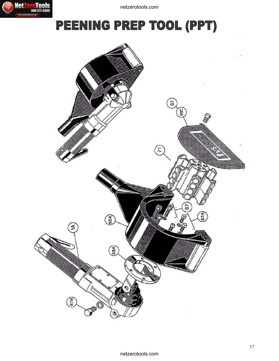



# PEENING PREP TOOL (PPT)

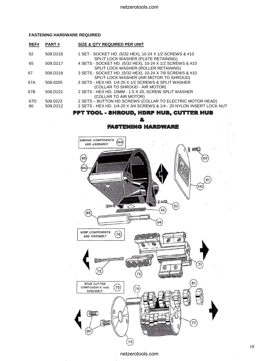#### **FASTENING HARDWARE REQUIRED**

| REF#      | <b>PART#</b>                     | <b>SIZE &amp; QTY REQUIRED PER UNIT</b>                                                                                            |
|-----------|----------------------------------|------------------------------------------------------------------------------------------------------------------------------------|
| 62        | 508.D <sub>216</sub>             | 1 SET - SOCKET HD. (5/32 HEX), 10-24 X 1/2 SCREWS & #10<br>SPLIT LOCK WASHER (PLATE RETAINING)                                     |
| 65        | 508.D217                         | 4 SETS - SOCKET HD. (5/32 HEX), 10-24 X 1/2 SCREWS & #10<br>SPLIT LOCK WASHER (ROLLER RETAINING)                                   |
| 67        | 508.D <sub>218</sub>             | 3 SETS - SOCKET HD. (5/32 HEX), 10-24 X 7/8 SCREWS & #10<br>SPLIT LOCK WASHER (AIR MOTOR TO SHROUD)                                |
| 67A       | 508.0205                         | 3 SETS - HEX HD, 1/4-20 X 1/2 SCREWS & SPLIT WASHER<br>(COLLAR TO SHROUD - AIR MOTOR)                                              |
| 67B       | 508.D221                         | 2 SETS - HEX HD. 10MM - 1.5 X 20, SCREW SPLIT WASHER<br>(COLLAR TO AIR MOTOR)                                                      |
| 67D<br>80 | 508.0223<br>508.D <sub>212</sub> | 2 SETS - BUTTON HD SCREWS (COLLAR TO ELECTRIC MOTOR HEAD)<br>2 SETS - HEX HD. 1/4-20 X 3/4 SCREWS & 1/4 - 20 NYLON INSERT LOCK NUT |
|           |                                  |                                                                                                                                    |

#### TOOL - SHROUD, HDRP HUB, CUTTER HUB PPT

## **FASTENING HARDWARE**

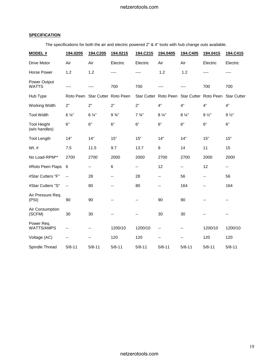## **SPECIFICATION**

The specifications for both the air and electric powered 2" & 4" tools with hub change outs available.

| <b>MODEL#</b>                       | 194.0205       | 194.C205              | 194.0215         | 194.C215         | 194.0405              | 194.C405              | 194.0415       | 194.C415           |
|-------------------------------------|----------------|-----------------------|------------------|------------------|-----------------------|-----------------------|----------------|--------------------|
| Drive Motor                         | Air            | Air                   | Electric         | Electric         | Air                   | Air                   | Electric       | Electric           |
| Horse Power                         | 1.2            | 1.2                   | ----             | ----             | 1.2                   | 1.2                   |                | ----               |
| Power Output<br><b>WATTS</b>        | ----           |                       | 700              | 700              | ----                  |                       | 700            | 700                |
| Hub Type                            | Roto Peen      | Star Cutter Roto Peen |                  |                  | Star Cutter Roto Peen | Star Cutter Roto Peen |                | <b>Star Cutter</b> |
| Working Width                       | 2"             | 2"                    | 2"               | 2"               | 4"                    | 4"                    | 4"             | 4"                 |
| <b>Tool Width</b>                   | $6\frac{1}{4}$ | $6\frac{1}{4}$        | $9\frac{3}{4}$ " | $7\frac{3}{4}$ " | $8\frac{1}{4}$        | $8\frac{1}{4}$        | $9\frac{1}{2}$ | $9\frac{1}{2}$     |
| <b>Tool Height</b><br>(w/o handles) | 6"             | 6"                    | 6"               | 6"               | 6"                    | 6"                    | 6"             | 6"                 |
| <b>Tool Length</b>                  | 14"            | 14"                   | 15"              | 15"              | 14"                   | 14"                   | 15"            | 15"                |
| Wt. #                               | 7.5            | 11.5                  | 9.7              | 13.7             | $\boldsymbol{9}$      | 14                    | 11             | 15                 |
| No Load-RPM**                       | 2700           | 2700                  | 2000             | 2000             | 2700                  | 2700                  | 2000           | 2000               |
| #Roto Peen Flaps                    | 6              | --                    | 6                | --               | 12                    | --                    | 12             | --                 |
| #Star Cutters "F"                   | --             | 28                    | --               | 28               | --                    | 56                    | --             | 56                 |
| #Star Cutters "S"                   | --             | 80                    | --               | 80               | --                    | 164                   | $-$            | 164                |
| Air Pressure Req.<br>(PSI)          | 90             | 90                    |                  | --               | 90                    | 90                    |                | --                 |
| Air Consumption<br>(SCFM)           | 30             | 30                    |                  | --               | 30                    | 30                    |                | --                 |
| Power Req.<br>WATTS/AMPS            | --             | --                    | 1200/10          | 1200/10          | --                    | --                    | 1200/10        | 1200/10            |
| Voltage (AC)                        | --             | --                    | 120              | 120              | ۵.                    | --                    | 120            | 120                |
| Spindle Thread                      | $5/8 - 11$     | $5/8 - 11$            | $5/8 - 11$       | $5/8 - 11$       | $5/8 - 11$            | $5/8 - 11$            | $5/8 - 11$     | $5/8 - 11$         |